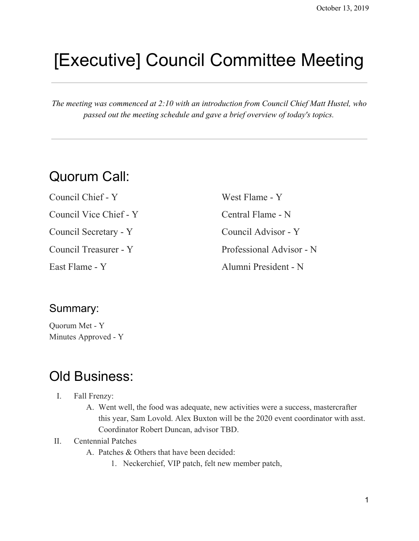# [Executive] Council Committee Meeting

*The meeting was commenced at 2:10 with an introduction from Council Chief Matt Hustel, who passed out the meeting schedule and gave a brief overview of today's topics.*

# Quorum Call:

Council Chief - Y Council Vice Chief - Y Council Secretary - Y Council Treasurer - Y East Flame - Y West Flame - Y Central Flame - N Council Advisor - Y Professional Advisor - N Alumni President - N

### Summary:

Quorum Met - Y Minutes Approved - Y

# Old Business:

- I. Fall Frenzy:
	- A. Went well, the food was adequate, new activities were a success, mastercrafter this year, Sam Lovold. Alex Buxton will be the 2020 event coordinator with asst. Coordinator Robert Duncan, advisor TBD.

#### II. Centennial Patches

- A. Patches & Others that have been decided:
	- 1. Neckerchief, VIP patch, felt new member patch,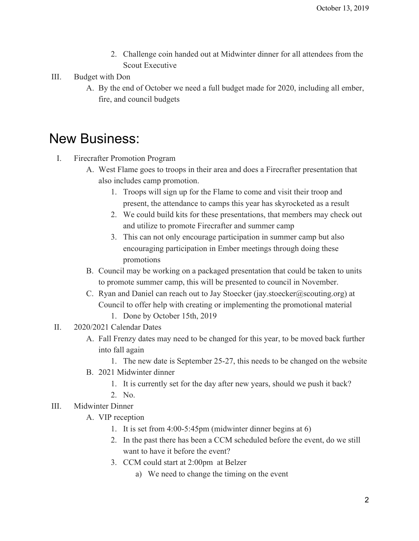- 2. Challenge coin handed out at Midwinter dinner for all attendees from the Scout Executive
- III. Budget with Don
	- A. By the end of October we need a full budget made for 2020, including all ember, fire, and council budgets

## New Business:

- I. Firecrafter Promotion Program
	- A. West Flame goes to troops in their area and does a Firecrafter presentation that also includes camp promotion.
		- 1. Troops will sign up for the Flame to come and visit their troop and present, the attendance to camps this year has skyrocketed as a result
		- 2. We could build kits for these presentations, that members may check out and utilize to promote Firecrafter and summer camp
		- 3. This can not only encourage participation in summer camp but also encouraging participation in Ember meetings through doing these promotions
	- B. Council may be working on a packaged presentation that could be taken to units to promote summer camp, this will be presented to council in November.
	- C. Ryan and Daniel can reach out to Jay Stoecker (jay.stoecker@scouting.org) at Council to offer help with creating or implementing the promotional material 1. Done by October 15th, 2019
- II. 2020/2021 Calendar Dates
	- A. Fall Frenzy dates may need to be changed for this year, to be moved back further into fall again
		- 1. The new date is September 25-27, this needs to be changed on the website
	- B. 2021 Midwinter dinner
		- 1. It is currently set for the day after new years, should we push it back?
		- 2. No.
- III. Midwinter Dinner
	- A. VIP reception
		- 1. It is set from 4:00-5:45pm (midwinter dinner begins at 6)
		- 2. In the past there has been a CCM scheduled before the event, do we still want to have it before the event?
		- 3. CCM could start at 2:00pm at Belzer
			- a) We need to change the timing on the event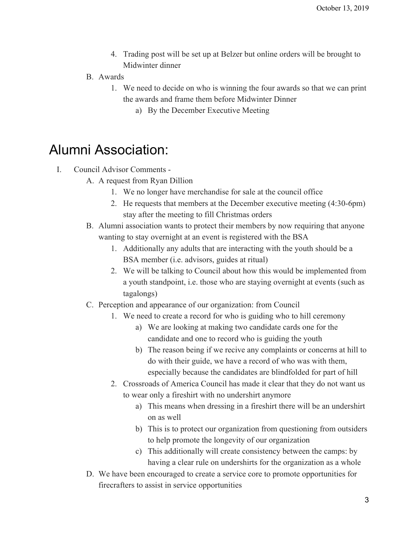- 4. Trading post will be set up at Belzer but online orders will be brought to Midwinter dinner
- B. Awards
	- 1. We need to decide on who is winning the four awards so that we can print the awards and frame them before Midwinter Dinner
		- a) By the December Executive Meeting

# Alumni Association:

- I. Council Advisor Comments
	- A. A request from Ryan Dillion
		- 1. We no longer have merchandise for sale at the council office
		- 2. He requests that members at the December executive meeting (4:30-6pm) stay after the meeting to fill Christmas orders
	- B. Alumni association wants to protect their members by now requiring that anyone wanting to stay overnight at an event is registered with the BSA
		- 1. Additionally any adults that are interacting with the youth should be a BSA member (i.e. advisors, guides at ritual)
		- 2. We will be talking to Council about how this would be implemented from a youth standpoint, i.e. those who are staying overnight at events (such as tagalongs)
	- C. Perception and appearance of our organization: from Council
		- 1. We need to create a record for who is guiding who to hill ceremony
			- a) We are looking at making two candidate cards one for the candidate and one to record who is guiding the youth
			- b) The reason being if we recive any complaints or concerns at hill to do with their guide, we have a record of who was with them, especially because the candidates are blindfolded for part of hill
		- 2. Crossroads of America Council has made it clear that they do not want us to wear only a fireshirt with no undershirt anymore
			- a) This means when dressing in a fireshirt there will be an undershirt on as well
			- b) This is to protect our organization from questioning from outsiders to help promote the longevity of our organization
			- c) This additionally will create consistency between the camps: by having a clear rule on undershirts for the organization as a whole
	- D. We have been encouraged to create a service core to promote opportunities for firecrafters to assist in service opportunities